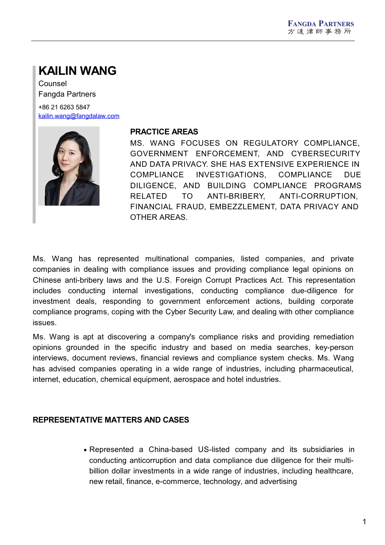# **KAILIN WANG**

Counsel Fangda Partners +86 21 6263 5847

[kailin.wang@fangdalaw.com](mailto:kailin.wang@fangdalaw.com)



#### **PRACTICE AREAS**

MS. WANG FOCUSES ON REGULATORY COMPLIANCE, GOVERNMENT ENFORCEMENT, AND CYBERSECURITY AND DATA PRIVACY. SHE HAS EXTENSIVE EXPERIENCE IN COMPLIANCE INVESTIGATIONS, COMPLIANCE DUE DILIGENCE, AND BUILDING COMPLIANCE PROGRAMS RELATED TO ANTI-BRIBERY, ANTI-CORRUPTION, FINANCIAL FRAUD, EMBEZZLEMENT, DATA PRIVACY AND OTHER AREAS.

Ms. Wang has represented multinational companies, listed companies, and private companies in dealing with compliance issues and providing compliance legal opinions on Chinese anti-bribery laws and the U.S. Foreign Corrupt Practices Act. This representation includes conducting internal investigations, conducting compliance due-diligence for investment deals, responding to government enforcement actions, building corporate compliance programs, coping with the Cyber Security Law, and dealing with other compliance issues.

Ms. Wang is apt at discovering a company's compliance risks and providing remediation opinions grounded in the specific industry and based on media searches, key-person interviews, document reviews, financial reviews and compliance system checks. Ms. Wang has advised companies operating in a wide range of industries, including pharmaceutical, internet, education, chemical equipment, aerospace and hotel industries.

#### **REPRESENTATIVE MATTERS AND CASES**

Represented a China-based US-listed company and its subsidiaries in conducting anticorruption and data compliance due diligence for their multi billion dollar investments in a wide range of industries, including healthcare, new retail, finance, e-commerce, technology, and advertising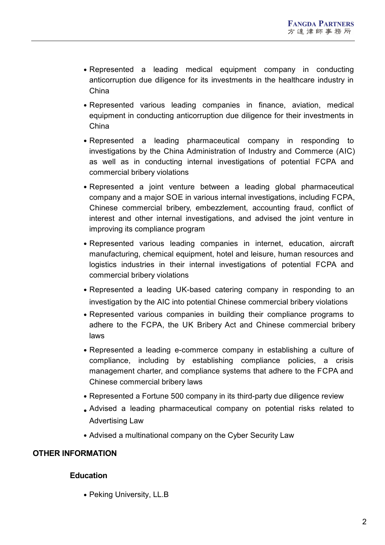- Represented a leading medical equipment company in conducting anticorruption due diligence for its investments in the healthcare industry in China
- Represented various leading companies in finance, aviation, medical equipment in conducting anticorruption due diligence for their investments in China
- Represented a leading pharmaceutical company in responding to investigations by the China Administration of Industry and Commerce (AIC) as well as in conducting internal investigations of potential FCPA and commercial bribery violations
- Represented a joint venture between a leading global pharmaceutical company and a major SOE in various internal investigations, including FCPA, Chinese commercial bribery, embezzlement, accounting fraud, conflict of interest and other internal investigations, and advised the joint venture in improving its compliance program
- Represented various leading companies in internet, education, aircraft manufacturing, chemical equipment, hotel and leisure, human resources and logistics industries in their internal investigations of potential FCPA and commercial bribery violations
- Represented a leading UK-based catering company in responding to an investigation by the AIC into potential Chinese commercial bribery violations
- Represented various companies in building their compliance programs to adhere to the FCPA, the UK Bribery Act and Chinese commercial bribery laws
- Represented a leading e-commerce company in establishing a culture of compliance, including by establishing compliance policies, a crisis management charter, and compliance systems that adhere to the FCPA and Chinese commercial bribery laws
- Represented a Fortune 500 company in its third-party due diligence review
- Advised a leading pharmaceutical company on potential risks related to Advertising Law
- Advised a multinational company on the Cyber Security Law

#### **OTHER INFORMATION**

#### **Education**

• Peking University, LL.B